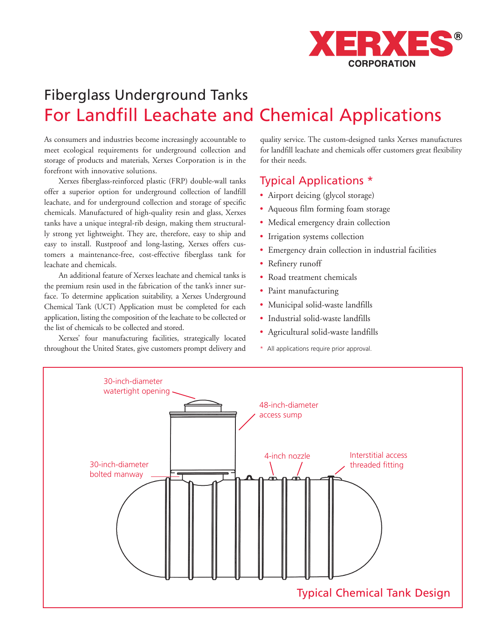

# Fiberglass Underground Tanks For Landfill Leachate and Chemical Applications

As consumers and industries become increasingly accountable to meet ecological requirements for underground collection and storage of products and materials, Xerxes Corporation is in the forefront with innovative solutions.

Xerxes fiberglass-reinforced plastic (FRP) double-wall tanks offer a superior option for underground collection of landfill leachate, and for underground collection and storage of specific chemicals. Manufactured of high-quality resin and glass, Xerxes tanks have a unique integral-rib design, making them structurally strong yet lightweight. They are, therefore, easy to ship and easy to install. Rustproof and long-lasting, Xerxes offers customers a maintenance-free, cost-effective fiberglass tank for leachate and chemicals.

An additional feature of Xerxes leachate and chemical tanks is the premium resin used in the fabrication of the tank's inner surface. To determine application suitability, a Xerxes Underground Chemical Tank (UCT) Application must be completed for each application, listing the composition of the leachate to be collected or the list of chemicals to be collected and stored.

Xerxes' four manufacturing facilities, strategically located throughout the United States, give customers prompt delivery and

quality service. The custom-designed tanks Xerxes manufactures for landfill leachate and chemicals offer customers great flexibility for their needs.

# Typical Applications \*

- Airport deicing (glycol storage)
- Aqueous film forming foam storage
- Medical emergency drain collection
- Irrigation systems collection
- Emergency drain collection in industrial facilities
- Refinery runoff
- Road treatment chemicals
- Paint manufacturing
- Municipal solid-waste landfills
- Industrial solid-waste landfills
- Agricultural solid-waste landfills
- \* All applications require prior approval.

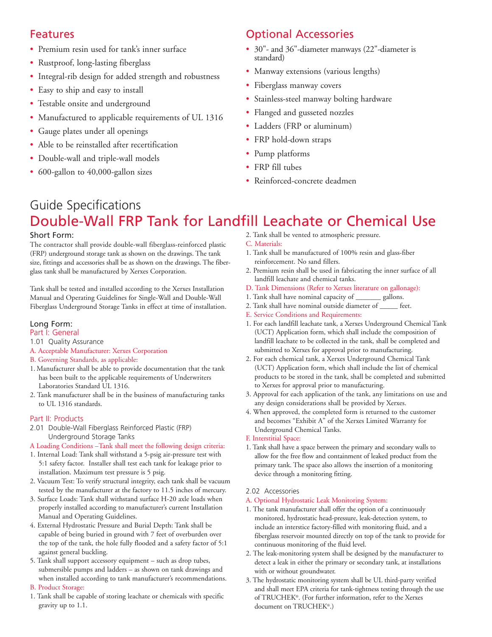# Features

- Premium resin used for tank's inner surface
- Rustproof, long-lasting fiberglass
- Integral-rib design for added strength and robustness
- Easy to ship and easy to install
- Testable onsite and underground
- Manufactured to applicable requirements of UL 1316
- Gauge plates under all openings
- Able to be reinstalled after recertification
- Double-wall and triple-wall models
- 600-gallon to 40,000-gallon sizes

# Optional Accessories

- 30"- and 36"-diameter manways (22"-diameter is standard)
- Manway extensions (various lengths)
- Fiberglass manway covers
- Stainless-steel manway bolting hardware
- Flanged and gusseted nozzles
- Ladders (FRP or aluminum)
- FRP hold-down straps
- Pump platforms
- FRP fill tubes
- Reinforced-concrete deadmen

# Guide Specifications Double-Wall FRP Tank for Landfill Leachate or Chemical Use

# Short Form:

The contractor shall provide double-wall fiberglass-reinforced plastic (FRP) underground storage tank as shown on the drawings. The tank size, fittings and accessories shall be as shown on the drawings. The fiberglass tank shall be manufactured by Xerxes Corporation.

Tank shall be tested and installed according to the Xerxes Installation Manual and Operating Guidelines for Single-Wall and Double-Wall Fiberglass Underground Storage Tanks in effect at time of installation.

## Long Form:

### Part I: General

- 1.01 Quality Assurance
- A. Acceptable Manufacturer: Xerxes Corporation
- B. Governing Standards, as applicable:
- 1. Manufacturer shall be able to provide documentation that the tank has been built to the applicable requirements of Underwriters Laboratories Standard UL 1316.
- 2. Tank manufacturer shall be in the business of manufacturing tanks to UL 1316 standards.

# Part II: Products

2.01 Double-Wall Fiberglass Reinforced Plastic (FRP) Underground Storage Tanks

# A Loading Conditions –Tank shall meet the following design criteria:

- 1. Internal Load: Tank shall withstand a 5-psig air-pressure test with 5:1 safety factor. Installer shall test each tank for leakage prior to installation. Maximum test pressure is 5 psig.
- 2. Vacuum Test: To verify structural integrity, each tank shall be vacuum tested by the manufacturer at the factory to 11.5 inches of mercury.
- 3. Surface Loads: Tank shall withstand surface H-20 axle loads when properly installed according to manufacturer's current Installation Manual and Operating Guidelines.
- 4. External Hydrostatic Pressure and Burial Depth: Tank shall be capable of being buried in ground with 7 feet of overburden over the top of the tank, the hole fully flooded and a safety factor of 5:1 against general buckling.
- 5. Tank shall support accessory equipment such as drop tubes, submersible pumps and ladders – as shown on tank drawings and when installed according to tank manufacturer's recommendations. B. Product Storage:

1. Tank shall be capable of storing leachate or chemicals with specific gravity up to 1.1.

### 2. Tank shall be vented to atmospheric pressure.

- C. Materials:
- 1. Tank shall be manufactured of 100% resin and glass-fiber reinforcement. No sand fillers.
- 2. Premium resin shall be used in fabricating the inner surface of all landfill leachate and chemical tanks.
- D. Tank Dimensions (Refer to Xerxes literature on gallonage):
- 1. Tank shall have nominal capacity of \_\_\_\_\_\_\_ gallons.
- 2. Tank shall have nominal outside diameter of \_\_\_\_\_ feet.
- E. Service Conditions and Requirements:
- 1. For each landfill leachate tank, a Xerxes Underground Chemical Tank (UCT) Application form, which shall include the composition of landfill leachate to be collected in the tank, shall be completed and submitted to Xerxes for approval prior to manufacturing.
- 2. For each chemical tank, a Xerxes Underground Chemical Tank (UCT) Application form, which shall include the list of chemical products to be stored in the tank, shall be completed and submitted to Xerxes for approval prior to manufacturing.
- 3. Approval for each application of the tank, any limitations on use and any design considerations shall be provided by Xerxes.
- 4. When approved, the completed form is returned to the customer and becomes "Exhibit A" of the Xerxes Limited Warranty for Underground Chemical Tanks.
- F. Interstitial Space:
- 1. Tank shall have a space between the primary and secondary walls to allow for the free flow and containment of leaked product from the primary tank. The space also allows the insertion of a monitoring device through a monitoring fitting.

### 2.02 Accessories

- A. Optional Hydrostatic Leak Monitoring System:
- 1. The tank manufacturer shall offer the option of a continuously monitored, hydrostatic head-pressure, leak-detection system, to include an interstice factory-filled with monitoring fluid, and a fiberglass reservoir mounted directly on top of the tank to provide for continuous monitoring of the fluid level.
- 2. The leak-monitoring system shall be designed by the manufacturer to detect a leak in either the primary or secondary tank, at installations with or without groundwater.
- 3. The hydrostatic monitoring system shall be UL third-party verified and shall meet EPA criteria for tank-tightness testing through the use of TRUCHEK®. (For further information, refer to the Xerxes document on TRUCHEK®.)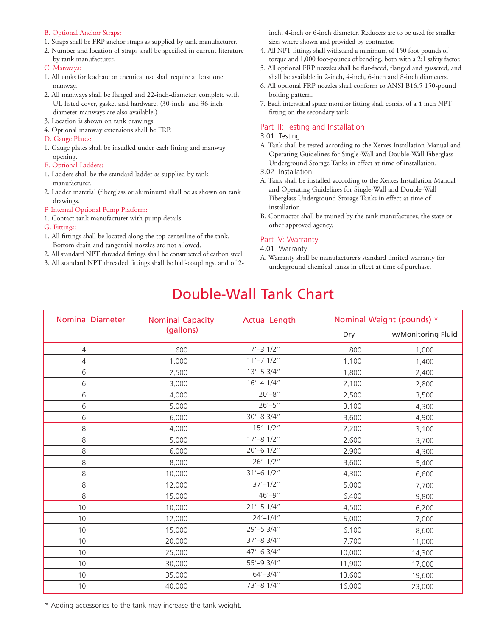### B. Optional Anchor Straps:

- 1. Straps shall be FRP anchor straps as supplied by tank manufacturer.
- 2. Number and location of straps shall be specified in current literature by tank manufacturer.
- C. Manways:
- 1. All tanks for leachate or chemical use shall require at least one manway.
- 2. All manways shall be flanged and 22-inch-diameter, complete with UL-listed cover, gasket and hardware. (30-inch- and 36-inchdiameter manways are also available.)
- 3. Location is shown on tank drawings.
- 4. Optional manway extensions shall be FRP.
- D. Gauge Plates:
- 1. Gauge plates shall be installed under each fitting and manway opening.
- E. Optional Ladders:
- 1. Ladders shall be the standard ladder as supplied by tank manufacturer.
- 2. Ladder material (fiberglass or aluminum) shall be as shown on tank drawings.
- F. Internal Optional Pump Platform:
- 1. Contact tank manufacturer with pump details.
- G. Fittings:
- 1. All fittings shall be located along the top centerline of the tank. Bottom drain and tangential nozzles are not allowed.
- 2. All standard NPT threaded fittings shall be constructed of carbon steel.
- 3. All standard NPT threaded fittings shall be half-couplings, and of 2-

inch, 4-inch or 6-inch diameter. Reducers are to be used for smaller sizes where shown and provided by contractor.

- 4. All NPT fittings shall withstand a minimum of 150 foot-pounds of torque and 1,000 foot-pounds of bending, both with a 2:1 safety factor.
- 5. All optional FRP nozzles shall be flat-faced, flanged and gusseted, and shall be available in 2-inch, 4-inch, 6-inch and 8-inch diameters.
- 6. All optional FRP nozzles shall conform to ANSI B16.5 150-pound bolting pattern.
- 7. Each interstitial space monitor fitting shall consist of a 4-inch NPT fitting on the secondary tank.

### Part III: Testing and Installation

- 3.01 Testing
- A. Tank shall be tested according to the Xerxes Installation Manual and Operating Guidelines for Single-Wall and Double-Wall Fiberglass Underground Storage Tanks in effect at time of installation.
- 3.02 Installation
- A. Tank shall be installed according to the Xerxes Installation Manual and Operating Guidelines for Single-Wall and Double-Wall Fiberglass Underground Storage Tanks in effect at time of installation
- B. Contractor shall be trained by the tank manufacturer, the state or other approved agency.

### Part IV: Warranty

- 4.01 Warranty
- A. Warranty shall be manufacturer's standard limited warranty for underground chemical tanks in effect at time of purchase.

# Double-Wall Tank Chart

| <b>Nominal Diameter</b> | <b>Nominal Capacity</b><br>(gallons) | <b>Actual Length</b> | Nominal Weight (pounds) * |                    |
|-------------------------|--------------------------------------|----------------------|---------------------------|--------------------|
|                         |                                      |                      | Dry                       | w/Monitoring Fluid |
| $4^{\prime}$            | 600                                  | $7' - 3$ $1/2''$     | 800                       | 1,000              |
| 4'                      | 1,000                                | $11' - 71/2''$       | 1,100                     | 1,400              |
| 6'                      | 2,500                                | $13' - 53/4''$       | 1,800                     | 2,400              |
| 6'                      | 3,000                                | $16' - 4$ $1/4''$    | 2,100                     | 2,800              |
| 6'                      | 4,000                                | $20' - 8''$          | 2,500                     | 3,500              |
| 6'                      | 5,000                                | $26' - 5''$          | 3,100                     | 4,300              |
| 6'                      | 6,000                                | 30'-8 3/4"           | 3,600                     | 4,900              |
| 8'                      | 4,000                                | $15' - 1/2''$        | 2,200                     | 3,100              |
| 8'                      | 5,000                                | $17' - 8$ $1/2$ "    | 2,600                     | 3,700              |
| 8'                      | 6,000                                | 20'-6 1/2"           | 2,900                     | 4,300              |
| 8'                      | 8,000                                | $26' - 1/2''$        | 3,600                     | 5,400              |
| 8'                      | 10,000                               | $31' - 6$ $1/2$ "    | 4,300                     | 6,600              |
| 8'                      | 12,000                               | $37' - 1/2''$        | 5,000                     | 7,700              |
| 8'                      | 15,000                               | $46' - 9''$          | 6,400                     | 9,800              |
| 10'                     | 10,000                               | $21' - 51/4''$       | 4,500                     | 6,200              |
| 10'                     | 12,000                               | $24' - 1/4''$        | 5,000                     | 7,000              |
| 10'                     | 15,000                               | 29'-5 3/4"           | 6,100                     | 8,600              |
| 10'                     | 20,000                               | 37'-8 3/4"           | 7,700                     | 11,000             |
| 10'                     | 25,000                               | 47'-6 3/4"           | 10,000                    | 14,300             |
| 10'                     | 30,000                               | 55'-9 3/4"           | 11,900                    | 17,000             |
| 10'                     | 35,000                               | $64' - 3/4''$        | 13,600                    | 19,600             |
| 10'                     | 40,000                               | 73'-8 1/4"           | 16,000                    | 23,000             |

\* Adding accessories to the tank may increase the tank weight.